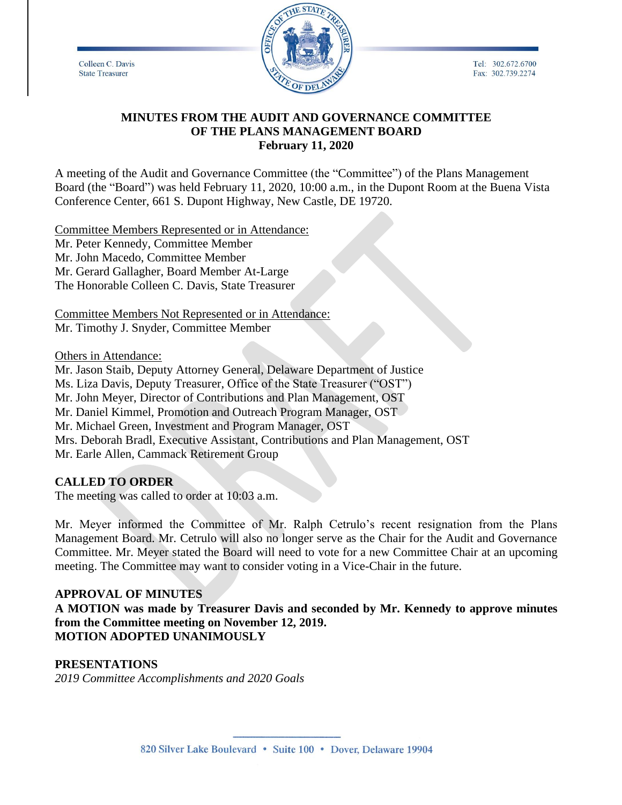Colleen C. Davis **State Treasurer** 



Tel: 302.672.6700 Fax: 302.739.2274

# **MINUTES FROM THE AUDIT AND GOVERNANCE COMMITTEE OF THE PLANS MANAGEMENT BOARD February 11, 2020**

A meeting of the Audit and Governance Committee (the "Committee") of the Plans Management Board (the "Board") was held February 11, 2020, 10:00 a.m., in the Dupont Room at the Buena Vista Conference Center, 661 S. Dupont Highway, New Castle, DE 19720.

Committee Members Represented or in Attendance: Mr. Peter Kennedy, Committee Member Mr. John Macedo, Committee Member Mr. Gerard Gallagher, Board Member At-Large The Honorable Colleen C. Davis, State Treasurer

Committee Members Not Represented or in Attendance: Mr. Timothy J. Snyder, Committee Member

Others in Attendance:

Mr. Jason Staib, Deputy Attorney General, Delaware Department of Justice Ms. Liza Davis, Deputy Treasurer, Office of the State Treasurer ("OST") Mr. John Meyer, Director of Contributions and Plan Management, OST Mr. Daniel Kimmel, Promotion and Outreach Program Manager, OST Mr. Michael Green, Investment and Program Manager, OST Mrs. Deborah Bradl, Executive Assistant, Contributions and Plan Management, OST Mr. Earle Allen, Cammack Retirement Group

## **CALLED TO ORDER**

The meeting was called to order at 10:03 a.m.

Mr. Meyer informed the Committee of Mr. Ralph Cetrulo's recent resignation from the Plans Management Board. Mr. Cetrulo will also no longer serve as the Chair for the Audit and Governance Committee. Mr. Meyer stated the Board will need to vote for a new Committee Chair at an upcoming meeting. The Committee may want to consider voting in a Vice-Chair in the future.

#### **APPROVAL OF MINUTES**

**A MOTION was made by Treasurer Davis and seconded by Mr. Kennedy to approve minutes from the Committee meeting on November 12, 2019. MOTION ADOPTED UNANIMOUSLY**

#### **PRESENTATIONS**

*2019 Committee Accomplishments and 2020 Goals*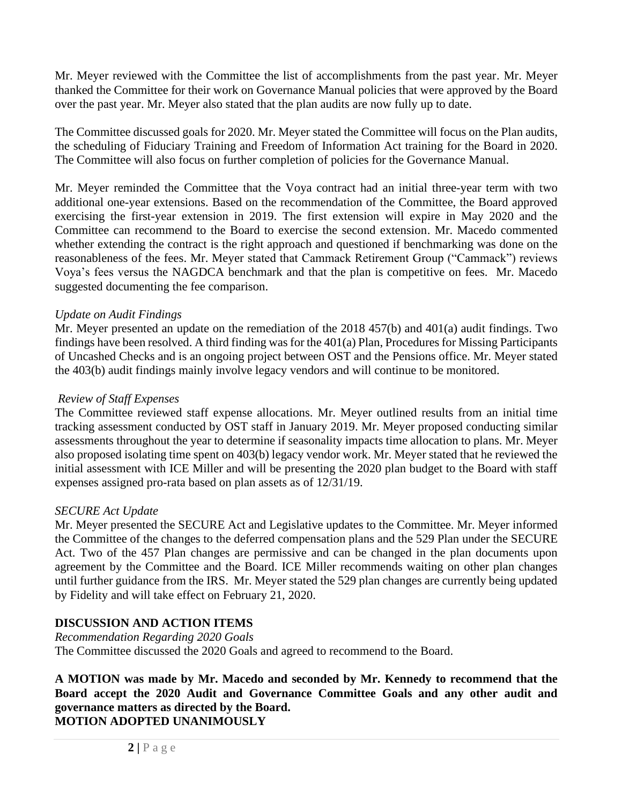Mr. Meyer reviewed with the Committee the list of accomplishments from the past year. Mr. Meyer thanked the Committee for their work on Governance Manual policies that were approved by the Board over the past year. Mr. Meyer also stated that the plan audits are now fully up to date.

The Committee discussed goals for 2020. Mr. Meyer stated the Committee will focus on the Plan audits, the scheduling of Fiduciary Training and Freedom of Information Act training for the Board in 2020. The Committee will also focus on further completion of policies for the Governance Manual.

Mr. Meyer reminded the Committee that the Voya contract had an initial three-year term with two additional one-year extensions. Based on the recommendation of the Committee, the Board approved exercising the first-year extension in 2019. The first extension will expire in May 2020 and the Committee can recommend to the Board to exercise the second extension. Mr. Macedo commented whether extending the contract is the right approach and questioned if benchmarking was done on the reasonableness of the fees. Mr. Meyer stated that Cammack Retirement Group ("Cammack") reviews Voya's fees versus the NAGDCA benchmark and that the plan is competitive on fees. Mr. Macedo suggested documenting the fee comparison.

# *Update on Audit Findings*

Mr. Meyer presented an update on the remediation of the 2018 457(b) and 401(a) audit findings. Two findings have been resolved. A third finding was for the 401(a) Plan, Procedures for Missing Participants of Uncashed Checks and is an ongoing project between OST and the Pensions office. Mr. Meyer stated the 403(b) audit findings mainly involve legacy vendors and will continue to be monitored.

## *Review of Staff Expenses*

The Committee reviewed staff expense allocations. Mr. Meyer outlined results from an initial time tracking assessment conducted by OST staff in January 2019. Mr. Meyer proposed conducting similar assessments throughout the year to determine if seasonality impacts time allocation to plans. Mr. Meyer also proposed isolating time spent on 403(b) legacy vendor work. Mr. Meyer stated that he reviewed the initial assessment with ICE Miller and will be presenting the 2020 plan budget to the Board with staff expenses assigned pro-rata based on plan assets as of 12/31/19.

## *SECURE Act Update*

Mr. Meyer presented the SECURE Act and Legislative updates to the Committee. Mr. Meyer informed the Committee of the changes to the deferred compensation plans and the 529 Plan under the SECURE Act. Two of the 457 Plan changes are permissive and can be changed in the plan documents upon agreement by the Committee and the Board. ICE Miller recommends waiting on other plan changes until further guidance from the IRS. Mr. Meyer stated the 529 plan changes are currently being updated by Fidelity and will take effect on February 21, 2020.

# **DISCUSSION AND ACTION ITEMS**

*Recommendation Regarding 2020 Goals* The Committee discussed the 2020 Goals and agreed to recommend to the Board.

**A MOTION was made by Mr. Macedo and seconded by Mr. Kennedy to recommend that the Board accept the 2020 Audit and Governance Committee Goals and any other audit and governance matters as directed by the Board. MOTION ADOPTED UNANIMOUSLY**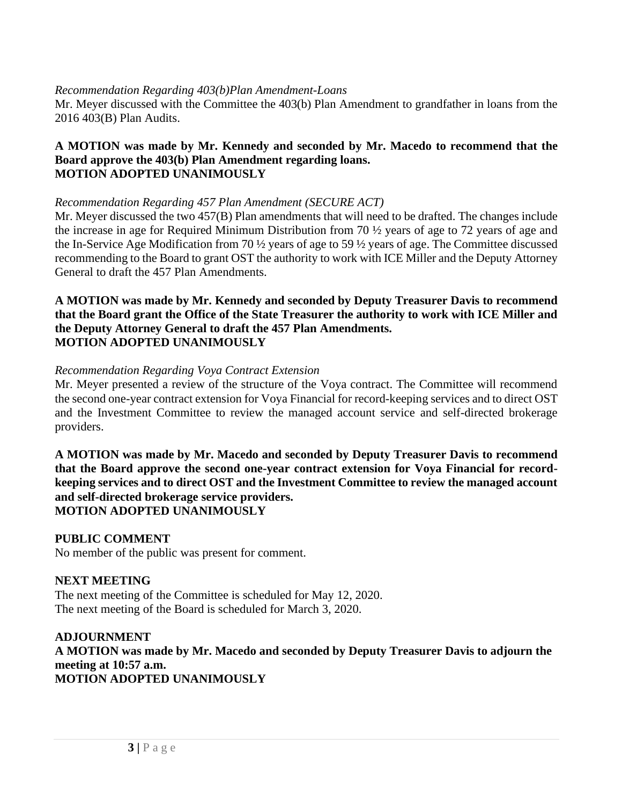### *Recommendation Regarding 403(b)Plan Amendment-Loans*

Mr. Meyer discussed with the Committee the 403(b) Plan Amendment to grandfather in loans from the 2016 403(B) Plan Audits.

#### **A MOTION was made by Mr. Kennedy and seconded by Mr. Macedo to recommend that the Board approve the 403(b) Plan Amendment regarding loans. MOTION ADOPTED UNANIMOUSLY**

#### *Recommendation Regarding 457 Plan Amendment (SECURE ACT)*

Mr. Meyer discussed the two 457(B) Plan amendments that will need to be drafted. The changes include the increase in age for Required Minimum Distribution from 70 ½ years of age to 72 years of age and the In-Service Age Modification from 70 ½ years of age to 59 ½ years of age. The Committee discussed recommending to the Board to grant OST the authority to work with ICE Miller and the Deputy Attorney General to draft the 457 Plan Amendments.

#### **A MOTION was made by Mr. Kennedy and seconded by Deputy Treasurer Davis to recommend that the Board grant the Office of the State Treasurer the authority to work with ICE Miller and the Deputy Attorney General to draft the 457 Plan Amendments. MOTION ADOPTED UNANIMOUSLY**

#### *Recommendation Regarding Voya Contract Extension*

Mr. Meyer presented a review of the structure of the Voya contract. The Committee will recommend the second one-year contract extension for Voya Financial for record-keeping services and to direct OST and the Investment Committee to review the managed account service and self-directed brokerage providers.

**A MOTION was made by Mr. Macedo and seconded by Deputy Treasurer Davis to recommend that the Board approve the second one-year contract extension for Voya Financial for recordkeeping services and to direct OST and the Investment Committee to review the managed account and self-directed brokerage service providers. MOTION ADOPTED UNANIMOUSLY**

# **PUBLIC COMMENT**

No member of the public was present for comment.

#### **NEXT MEETING**

The next meeting of the Committee is scheduled for May 12, 2020. The next meeting of the Board is scheduled for March 3, 2020.

## **ADJOURNMENT A MOTION was made by Mr. Macedo and seconded by Deputy Treasurer Davis to adjourn the meeting at 10:57 a.m. MOTION ADOPTED UNANIMOUSLY**